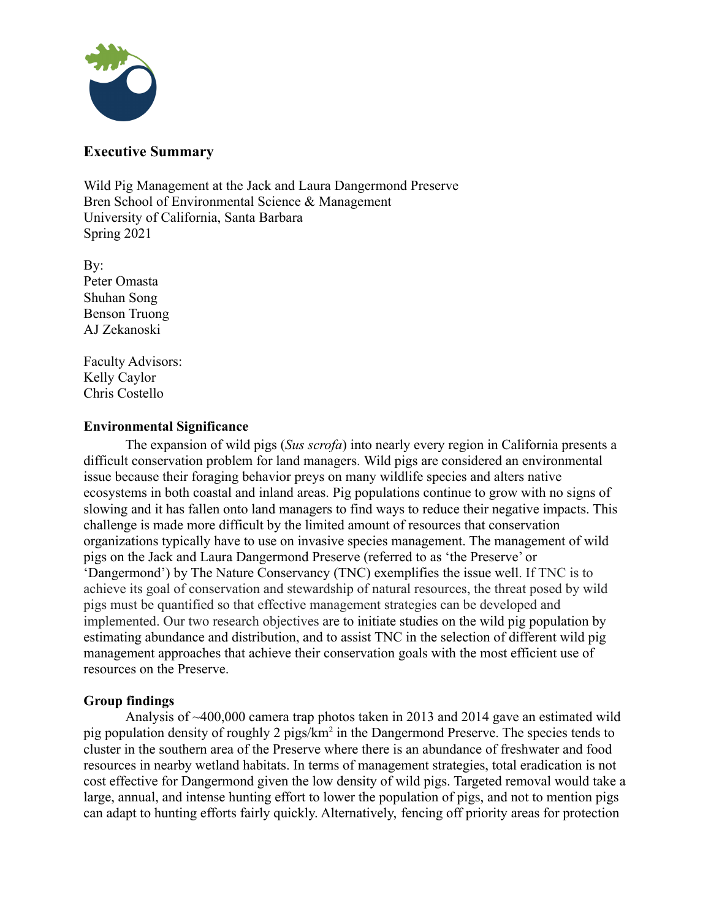

## **Executive Summary**

Wild Pig Management at the Jack and Laura Dangermond Preserve Bren School of Environmental Science & Management University of California, Santa Barbara Spring 2021

By: Peter Omasta Shuhan Song Benson Truong AJ Zekanoski

Faculty Advisors: Kelly Caylor Chris Costello

## **Environmental Significance**

The expansion of wild pigs (*Sus scrofa*) into nearly every region in California presents a difficult conservation problem for land managers. Wild pigs are considered an environmental issue because their foraging behavior preys on many wildlife species and alters native ecosystems in both coastal and inland areas. Pig populations continue to grow with no signs of slowing and it has fallen onto land managers to find ways to reduce their negative impacts. This challenge is made more difficult by the limited amount of resources that conservation organizations typically have to use on invasive species management. The management of wild pigs on the Jack and Laura Dangermond Preserve (referred to as 'the Preserve' or 'Dangermond') by The Nature Conservancy (TNC) exemplifies the issue well. If TNC is to achieve its goal of conservation and stewardship of natural resources, the threat posed by wild pigs must be quantified so that effective management strategies can be developed and implemented. Our two research objectives are to initiate studies on the wild pig population by estimating abundance and distribution, and to assist TNC in the selection of different wild pig management approaches that achieve their conservation goals with the most efficient use of resources on the Preserve.

## **Group findings**

Analysis of ~400,000 camera trap photos taken in 2013 and 2014 gave an estimated wild pig population density of roughly 2 pigs/km<sup>2</sup> in the Dangermond Preserve. The species tends to cluster in the southern area of the Preserve where there is an abundance of freshwater and food resources in nearby wetland habitats. In terms of management strategies, total eradication is not cost effective for Dangermond given the low density of wild pigs. Targeted removal would take a large, annual, and intense hunting effort to lower the population of pigs, and not to mention pigs can adapt to hunting efforts fairly quickly. Alternatively, fencing off priority areas for protection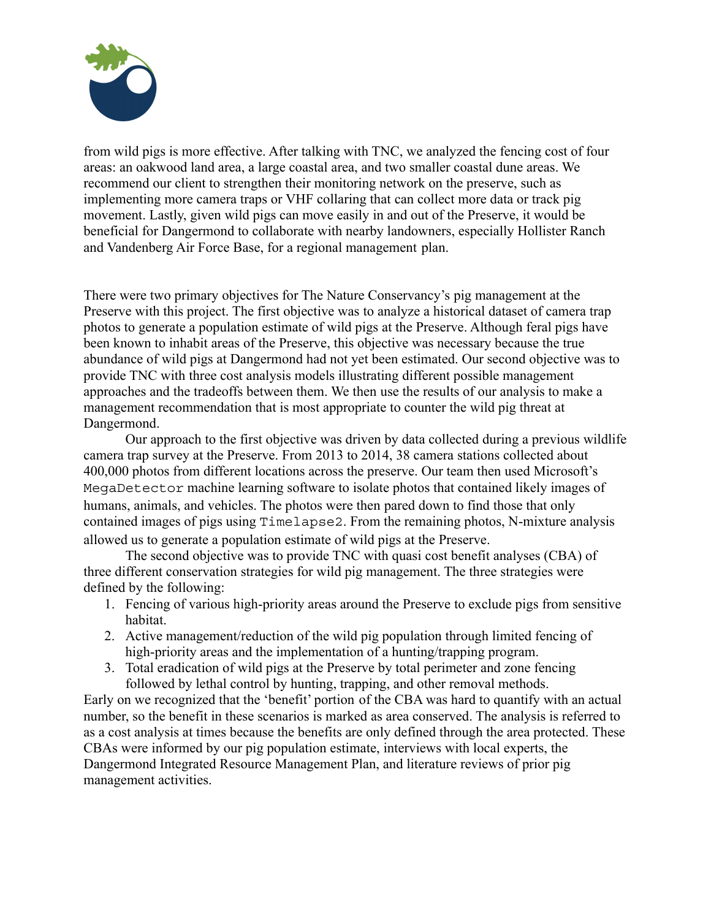

from wild pigs is more effective. After talking with TNC, we analyzed the fencing cost of four areas: an oakwood land area, a large coastal area, and two smaller coastal dune areas. We recommend our client to strengthen their monitoring network on the preserve, such as implementing more camera traps or VHF collaring that can collect more data or track pig movement. Lastly, given wild pigs can move easily in and out of the Preserve, it would be beneficial for Dangermond to collaborate with nearby landowners, especially Hollister Ranch and Vandenberg Air Force Base, for a regional management plan.

There were two primary objectives for The Nature Conservancy's pig management at the Preserve with this project. The first objective was to analyze a historical dataset of camera trap photos to generate a population estimate of wild pigs at the Preserve. Although feral pigs have been known to inhabit areas of the Preserve, this objective was necessary because the true abundance of wild pigs at Dangermond had not yet been estimated. Our second objective was to provide TNC with three cost analysis models illustrating different possible management approaches and the tradeoffs between them. We then use the results of our analysis to make a management recommendation that is most appropriate to counter the wild pig threat at Dangermond.

Our approach to the first objective was driven by data collected during a previous wildlife camera trap survey at the Preserve. From 2013 to 2014, 38 camera stations collected about 400,000 photos from different locations across the preserve. Our team then used Microsoft's MegaDetector machine learning software to isolate photos that contained likely images of humans, animals, and vehicles. The photos were then pared down to find those that only contained images of pigs using Timelapse2. From the remaining photos, N-mixture analysis allowed us to generate a population estimate of wild pigs at the Preserve.

The second objective was to provide TNC with quasi cost benefit analyses (CBA) of three different conservation strategies for wild pig management. The three strategies were defined by the following:

- 1. Fencing of various high-priority areas around the Preserve to exclude pigs from sensitive habitat.
- 2. Active management/reduction of the wild pig population through limited fencing of high-priority areas and the implementation of a hunting/trapping program.
- 3. Total eradication of wild pigs at the Preserve by total perimeter and zone fencing followed by lethal control by hunting, trapping, and other removal methods.

Early on we recognized that the 'benefit' portion of the CBA was hard to quantify with an actual number, so the benefit in these scenarios is marked as area conserved. The analysis is referred to as a cost analysis at times because the benefits are only defined through the area protected. These CBAs were informed by our pig population estimate, interviews with local experts, the Dangermond Integrated Resource Management Plan, and literature reviews of prior pig management activities.